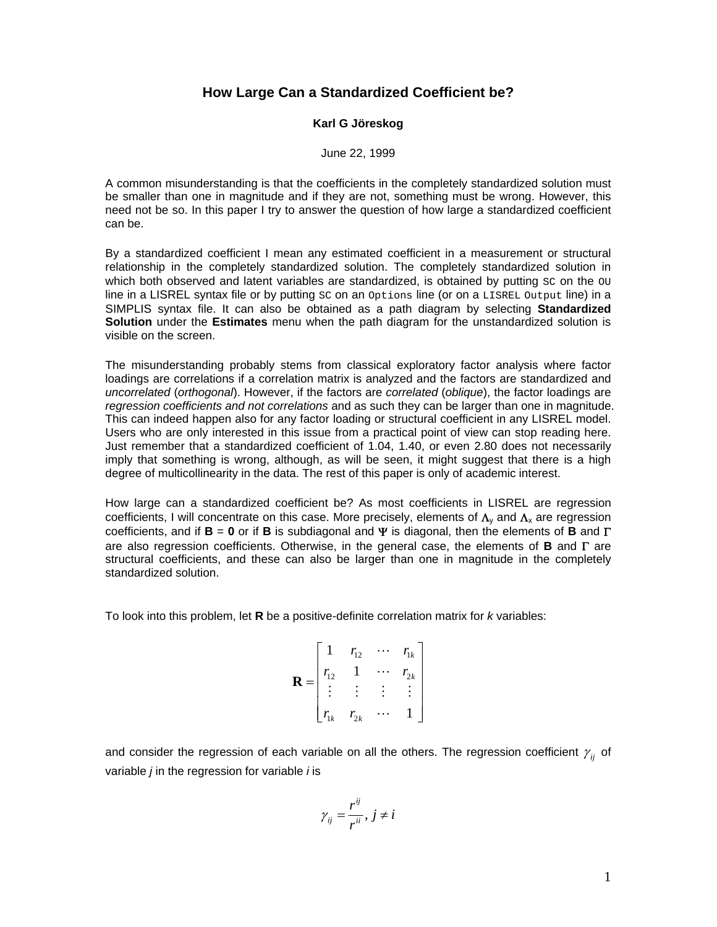## **How Large Can a Standardized Coefficient be?**

## **Karl G Jöreskog**

## June 22, 1999

A common misunderstanding is that the coefficients in the completely standardized solution must be smaller than one in magnitude and if they are not, something must be wrong. However, this need not be so. In this paper I try to answer the question of how large a standardized coefficient can be.

By a standardized coefficient I mean any estimated coefficient in a measurement or structural relationship in the completely standardized solution. The completely standardized solution in which both observed and latent variables are standardized, is obtained by putting  $\text{sc}$  on the  $\text{out}$ line in a LISREL syntax file or by putting  $sc$  on an  $options$  line (or on a  $LISTELD$  output line) in a SIMPLIS syntax file. It can also be obtained as a path diagram by selecting **Standardized Solution** under the **Estimates** menu when the path diagram for the unstandardized solution is visible on the screen.

The misunderstanding probably stems from classical exploratory factor analysis where factor loadings are correlations if a correlation matrix is analyzed and the factors are standardized and *uncorrelated* (*orthogonal*). However, if the factors are *correlated* (*oblique*), the factor loadings are *regression coefficients and not correlations* and as such they can be larger than one in magnitude. This can indeed happen also for any factor loading or structural coefficient in any LISREL model. Users who are only interested in this issue from a practical point of view can stop reading here. Just remember that a standardized coefficient of 1.04, 1.40, or even 2.80 does not necessarily imply that something is wrong, although, as will be seen, it might suggest that there is a high degree of multicollinearity in the data. The rest of this paper is only of academic interest.

How large can a standardized coefficient be? As most coefficients in LISREL are regression coefficients, I will concentrate on this case. More precisely, elements of  $\Lambda_v$  and  $\Lambda_x$  are regression coefficients, and if **B** = **0** or if **B** is subdiagonal and Ψ is diagonal, then the elements of **B** and Γ are also regression coefficients. Otherwise, in the general case, the elements of **B** and Γ are structural coefficients, and these can also be larger than one in magnitude in the completely standardized solution.

To look into this problem, let **R** be a positive-definite correlation matrix for *k* variables:

$$
\mathbf{R} = \begin{bmatrix} 1 & r_{12} & \cdots & r_{1k} \\ r_{12} & 1 & \cdots & r_{2k} \\ \vdots & \vdots & \vdots & \vdots \\ r_{1k} & r_{2k} & \cdots & 1 \end{bmatrix}
$$

and consider the regression of each variable on all the others. The regression coefficient  $\gamma_{ii}$  of variable *j* in the regression for variable *i* is

$$
\gamma_{ij}=\frac{r^{ij}}{r^{ii}}, j\neq i
$$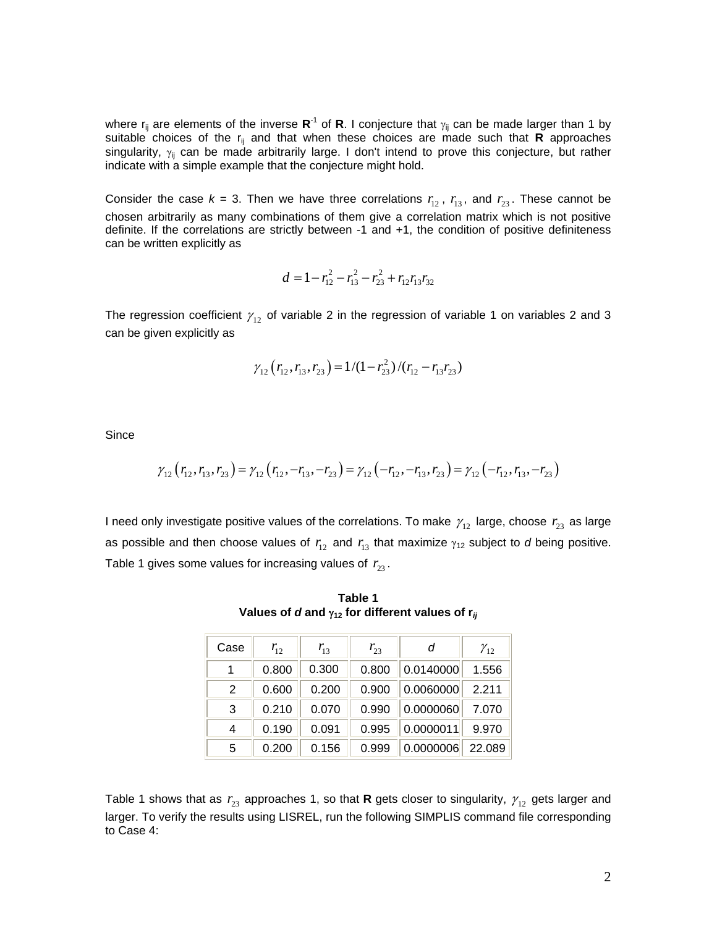where  $r_{ii}$  are elements of the inverse  $\mathbb{R}^{-1}$  of  $\mathbb{R}$ . I conjecture that  $\gamma_{ii}$  can be made larger than 1 by suitable choices of the r<sub>ij</sub> and that when these choices are made such that **R** approaches singularity,  $\gamma_{ij}$  can be made arbitrarily large. I don't intend to prove this conjecture, but rather indicate with a simple example that the conjecture might hold.

Consider the case  $k = 3$ . Then we have three correlations  $r_{12}$ ,  $r_{13}$ , and  $r_{23}$ . These cannot be chosen arbitrarily as many combinations of them give a correlation matrix which is not positive definite. If the correlations are strictly between -1 and +1, the condition of positive definiteness can be written explicitly as

$$
d = 1 - r_{12}^2 - r_{13}^2 - r_{23}^2 + r_{12}r_{13}r_{32}
$$

The regression coefficient  $\gamma_{12}$  of variable 2 in the regression of variable 1 on variables 2 and 3 can be given explicitly as

$$
\gamma_{12}\left(r_{12}, r_{13}, r_{23}\right) = 1/(1 - r_{23}^2)/(r_{12} - r_{13}r_{23})
$$

Since

$$
\gamma_{12}(r_{12},r_{13},r_{23}) = \gamma_{12}(r_{12},-r_{13},-r_{23}) = \gamma_{12}(-r_{12},-r_{13},r_{23}) = \gamma_{12}(-r_{12},r_{13},-r_{23})
$$

I need only investigate positive values of the correlations. To make  $\gamma_{12}$  large, choose  $r_{23}$  as large as possible and then choose values of  $r_{12}$  and  $r_{13}$  that maximize  $\gamma_{12}$  subject to *d* being positive. Table 1 gives some values for increasing values of  $r_{23}$ .

**Table 1 Values of** *d* **and** γ**12 for different values of r***ij*

| Case | $r_{12}$ | $r_{13}$ | $r_{23}$ | d         | $\gamma_{12}$ |
|------|----------|----------|----------|-----------|---------------|
| 1    | 0.800    | 0.300    | 0.800    | 0.0140000 | 1.556         |
| 2    | 0.600    | 0.200    | 0.900    | 0.0060000 | 2.211         |
| 3    | 0.210    | 0.070    | 0.990    | 0.0000060 | 7.070         |
| 4    | 0.190    | 0.091    | 0.995    | 0.0000011 | 9.970         |
| 5    | 0.200    | 0.156    | 0.999    | 0.0000006 | 22.089        |

Table 1 shows that as  $r_{23}$  approaches 1, so that **R** gets closer to singularity,  $\gamma_{12}$  gets larger and larger. To verify the results using LISREL, run the following SIMPLIS command file corresponding to Case 4: